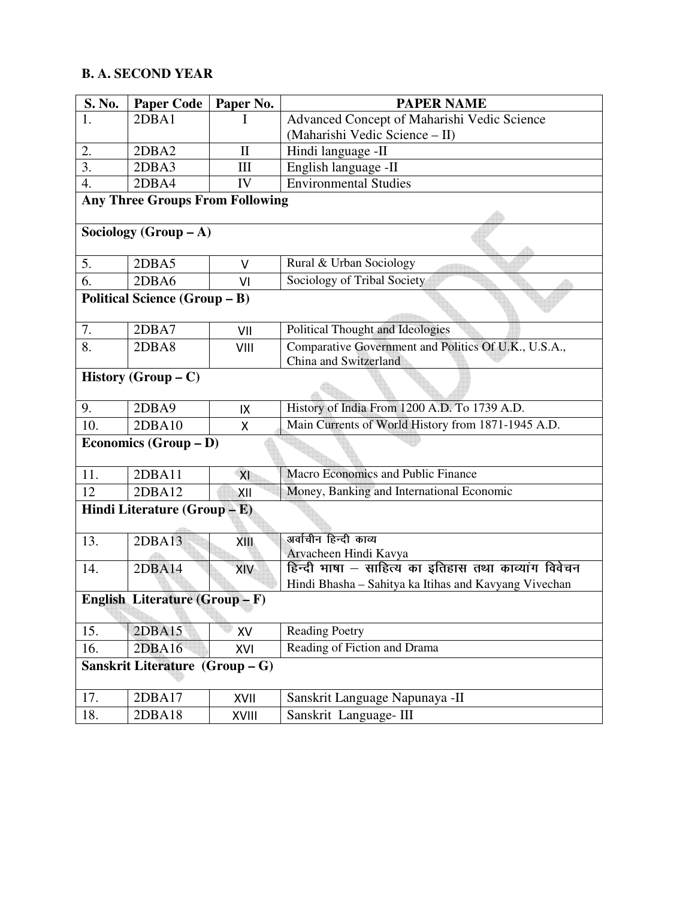## **B. A. SECOND YEAR**

| S. No.                                 | <b>Paper Code</b> | Paper No.                   | <b>PAPER NAME</b>                                                             |
|----------------------------------------|-------------------|-----------------------------|-------------------------------------------------------------------------------|
| 1.                                     | 2DBA1             | $\mathbf{I}$                | Advanced Concept of Maharishi Vedic Science                                   |
|                                        |                   |                             | (Maharishi Vedic Science - II)                                                |
| 2.                                     | 2DBA2             | $\mathbf{I}$                | Hindi language -II                                                            |
| $\overline{3}$ .                       | 2DBA3             | $\mathop{\rm III}\nolimits$ | English language -II                                                          |
| 4.                                     | 2DBA4             | IV                          | <b>Environmental Studies</b>                                                  |
| <b>Any Three Groups From Following</b> |                   |                             |                                                                               |
| Sociology (Group $-A$ )                |                   |                             |                                                                               |
| 5.                                     | 2DBA5             | $\vee$                      | Rural & Urban Sociology                                                       |
| 6.                                     | 2DBA6             | VI                          | Sociology of Tribal Society                                                   |
| Political Science (Group - B)          |                   |                             |                                                                               |
| 7.                                     | 2DBA7             | VII                         | Political Thought and Ideologies                                              |
| 8.                                     | 2DBA8             | VIII                        | Comparative Government and Politics Of U.K., U.S.A.,<br>China and Switzerland |
| <b>History</b> (Group $- C$ )          |                   |                             |                                                                               |
| 9.                                     | 2DBA9             | IX                          | History of India From 1200 A.D. To 1739 A.D.                                  |
| 10.                                    | 2DBA10            | Χ                           | Main Currents of World History from 1871-1945 A.D.                            |
| Economics (Group - D)                  |                   |                             |                                                                               |
| 11.                                    | 2DBA11            | XI                          | Macro Economics and Public Finance                                            |
| 12                                     | 2DBA12            | XII                         | Money, Banking and International Economic                                     |
| Hindi Literature $(Group - E)$         |                   |                             |                                                                               |
| 13.                                    | 2DBA13            | XIII                        | अर्वाचीन हिन्दी काव्य                                                         |
|                                        |                   |                             | Arvacheen Hindi Kavya                                                         |
| 14.                                    | 2DBA14            | XIV                         | हिन्दी भाषा – साहित्य का इतिहास तथा काव्यांग विवेचन                           |
|                                        |                   |                             | Hindi Bhasha - Sahitya ka Itihas and Kavyang Vivechan                         |
| English Literature (Group - F)         |                   |                             |                                                                               |
| 15.                                    | 2DBA15            | XV                          | <b>Reading Poetry</b>                                                         |
| 16.                                    | 2DBA16            | XVI                         | Reading of Fiction and Drama                                                  |
| Sanskrit Literature (Group - G)        |                   |                             |                                                                               |
| 17.                                    | 2DBA17            | XVII                        | Sanskrit Language Napunaya -II                                                |
| 18.                                    | 2DBA18            | XVIII                       | Sanskrit Language-III                                                         |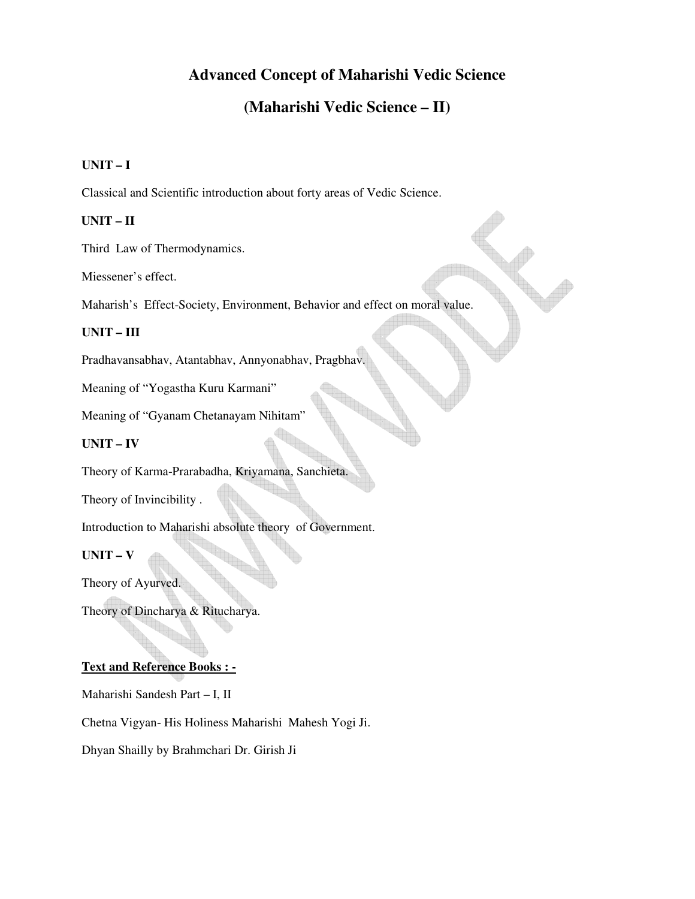## **Advanced Concept of Maharishi Vedic Science**

## **(Maharishi Vedic Science – II)**

 $\blacktriangledown$ 

### **UNIT – I**

Classical and Scientific introduction about forty areas of Vedic Science.

### **UNIT – II**

Third Law of Thermodynamics.

Miessener's effect.

Maharish's Effect-Society, Environment, Behavior and effect on moral value.

#### **UNIT – III**

Pradhavansabhav, Atantabhav, Annyonabhav, Pragbhav.

Meaning of "Yogastha Kuru Karmani"

Meaning of "Gyanam Chetanayam Nihitam"

### **UNIT – IV**

Theory of Karma-Prarabadha, Kriyamana, Sanchieta.

Theory of Invincibility .

Introduction to Maharishi absolute theory of Government.

#### **UNIT – V**

Theory of Ayurved.

Theory of Dincharya & Ritucharya.

### **Text and Reference Books : -**

Maharishi Sandesh Part – I, II

Chetna Vigyan- His Holiness Maharishi Mahesh Yogi Ji.

Dhyan Shailly by Brahmchari Dr. Girish Ji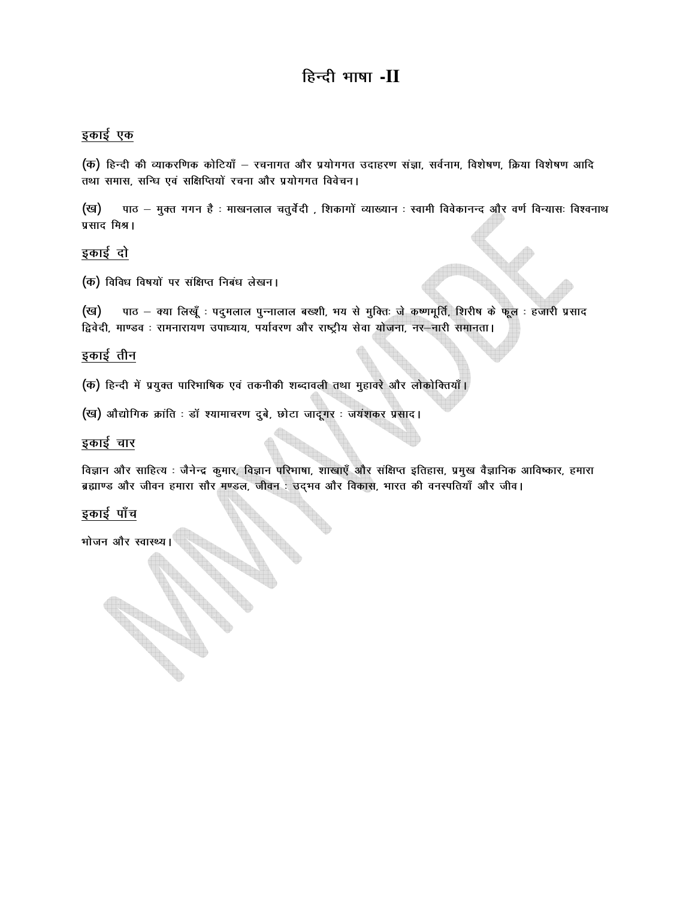# हिन्दी भाषा -II

### इकाई एक

(क) हिन्दी की व्याकरणिक कोटियाँ – रचनागत और प्रयोगगत उदाहरण संज्ञा, सर्वनाम, विशेषण, क्रिया विशेषण आदि तथा समास, सन्धि एवं सक्षिप्तियों रचना और प्रयोगगत विवेचन।

पाठ – मुक्त गगन है : माखनलाल चतुर्वेदी , शिकागों व्याख्यान : स्वामी विवेकानन्द और वर्ण विन्यासः विश्वनाथ (ख) प्रसाद मिश्र।

### इकाई दो

(क) विविध विषयों पर संक्षिप्त निबंध लेखन।

पाठ – क्या लिखूँ : पदुमलाल पुन्नालाल बख्शी, भय से मुक्ति: जे कष्णमूर्ति, शिरीष के फूल : हजारी प्रसाद (ख) द्विवेदी, माण्डव : रामनारायण उपाध्याय, पर्यावरण और राष्ट्रीय सेवा योजना, नर-नारी समानता।

### इकाई तीन

(क) हिन्दी में प्रयुक्त पारिभाषिक एवं तकनीकी शब्दावली तथा मुहावरे और लोकोक्तियाँ।

(ख) औद्योगिक क्रांति : डॉ श्यामाचरण दुबे, छोटा जादूगर : जयंशकर प्रसाद।

### इकाई चार

विज्ञान और साहित्य : जैनेन्द्र कुमार, विज्ञान परिभाषा, शाखाएँ और संक्षिप्त इतिहास, प्रमुख वैज्ञानिक आविष्कार, हमारा ब्रह्माण्ड और जीवन हमारा सौर मण्डल, जीवन : उद्भव और विकास, भारत की वनस्पतियाँ और जीव।

### इकाई पाँच

भोजन और स्वास्थ्य।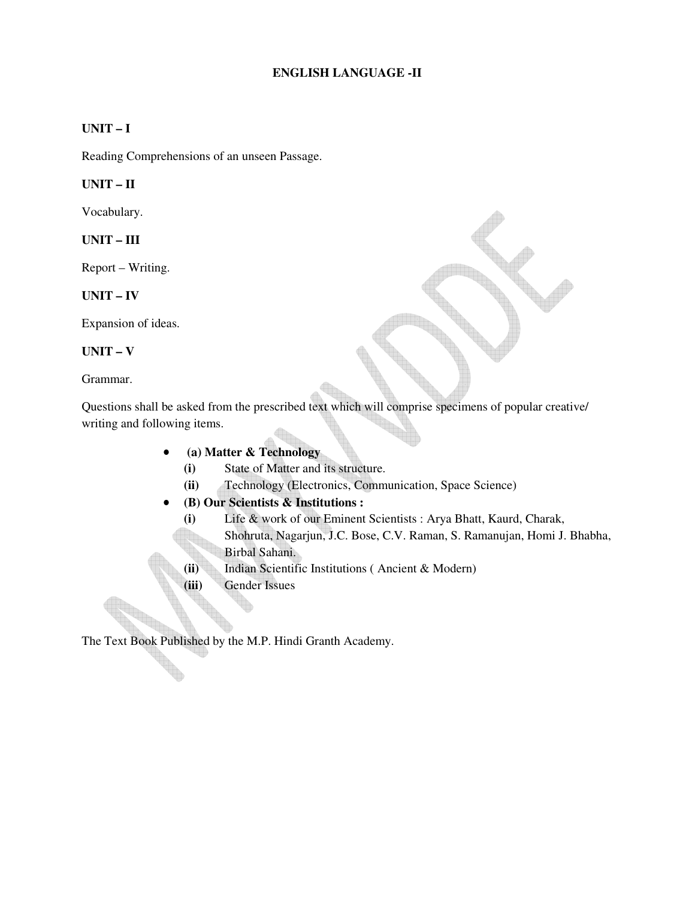### **ENGLISH LANGUAGE -II**

### **UNIT – I**

Reading Comprehensions of an unseen Passage.

#### **UNIT – II**

Vocabulary.

#### **UNIT – III**

Report – Writing.

#### **UNIT – IV**

Expansion of ideas.

### **UNIT – V**

Grammar.

Questions shall be asked from the prescribed text which will comprise specimens of popular creative/ writing and following items.

- • **(a) Matter & Technology** 
	- **(i)** State of Matter and its structure.
	- **(ii)** Technology (Electronics, Communication, Space Science)

### • **(B) Our Scientists & Institutions :**

- **(i)** Life & work of our Eminent Scientists : Arya Bhatt, Kaurd, Charak,
	- Shohruta, Nagarjun, J.C. Bose, C.V. Raman, S. Ramanujan, Homi J. Bhabha, Birbal Sahani.
- **(ii)** Indian Scientific Institutions ( Ancient & Modern)
- **(iii)** Gender Issues

The Text Book Published by the M.P. Hindi Granth Academy.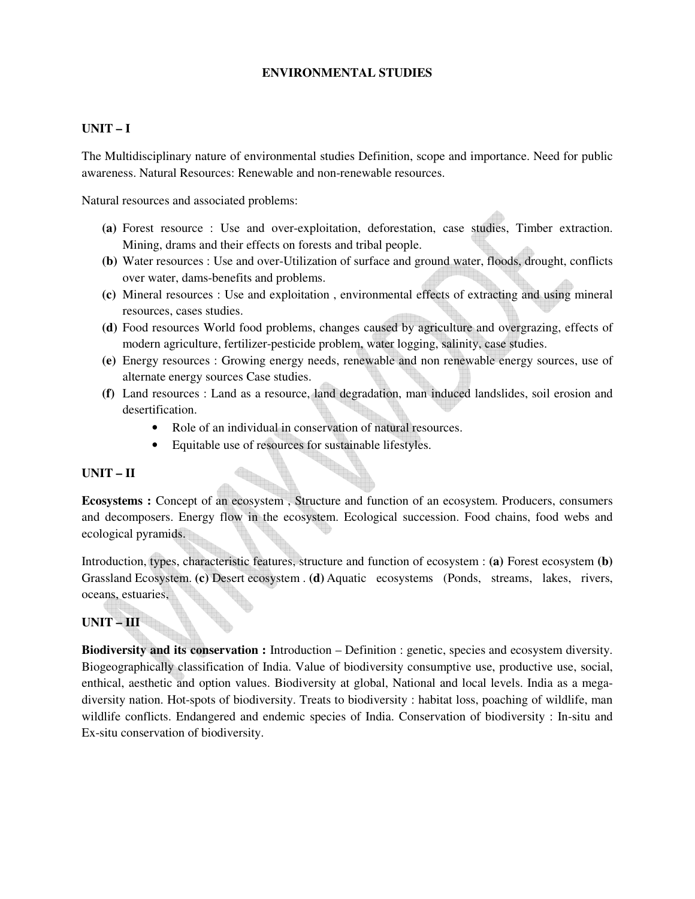### **ENVIRONMENTAL STUDIES**

### **UNIT – I**

The Multidisciplinary nature of environmental studies Definition, scope and importance. Need for public awareness. Natural Resources: Renewable and non-renewable resources.

Natural resources and associated problems:

- **(a)** Forest resource : Use and over-exploitation, deforestation, case studies, Timber extraction. Mining, drams and their effects on forests and tribal people.
- **(b)** Water resources : Use and over-Utilization of surface and ground water, floods, drought, conflicts over water, dams-benefits and problems.
- **(c)** Mineral resources : Use and exploitation , environmental effects of extracting and using mineral resources, cases studies.
- **(d)** Food resources World food problems, changes caused by agriculture and overgrazing, effects of modern agriculture, fertilizer-pesticide problem, water logging, salinity, case studies.
- **(e)** Energy resources : Growing energy needs, renewable and non renewable energy sources, use of alternate energy sources Case studies.
- **(f)** Land resources : Land as a resource, land degradation, man induced landslides, soil erosion and desertification.
	- Role of an individual in conservation of natural resources.
	- Equitable use of resources for sustainable lifestyles.

### **UNIT – II**

**Ecosystems :** Concept of an ecosystem , Structure and function of an ecosystem. Producers, consumers and decomposers. Energy flow in the ecosystem. Ecological succession. Food chains, food webs and ecological pyramids.

Introduction, types, characteristic features, structure and function of ecosystem : **(a)** Forest ecosystem **(b)** Grassland Ecosystem. **(c)** Desert ecosystem . **(d)** Aquatic ecosystems (Ponds, streams, lakes, rivers, oceans, estuaries,

### **UNIT – III**

**Biodiversity and its conservation :** Introduction – Definition : genetic, species and ecosystem diversity. Biogeographically classification of India. Value of biodiversity consumptive use, productive use, social, enthical, aesthetic and option values. Biodiversity at global, National and local levels. India as a megadiversity nation. Hot-spots of biodiversity. Treats to biodiversity : habitat loss, poaching of wildlife, man wildlife conflicts. Endangered and endemic species of India. Conservation of biodiversity : In-situ and Ex-situ conservation of biodiversity.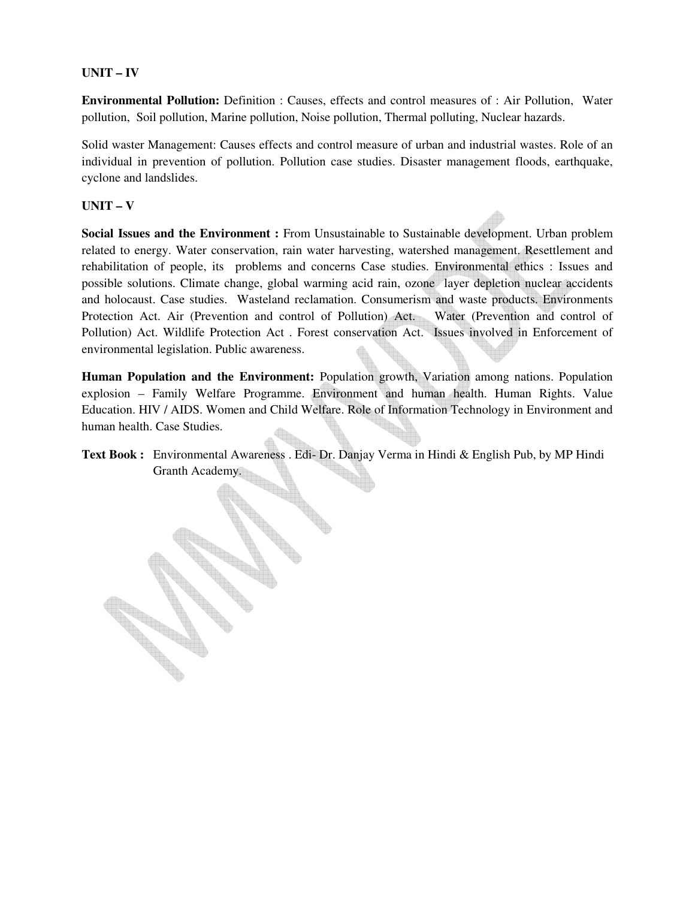### **UNIT – IV**

**Environmental Pollution:** Definition : Causes, effects and control measures of : Air Pollution, Water pollution, Soil pollution, Marine pollution, Noise pollution, Thermal polluting, Nuclear hazards.

Solid waster Management: Causes effects and control measure of urban and industrial wastes. Role of an individual in prevention of pollution. Pollution case studies. Disaster management floods, earthquake, cyclone and landslides.

### **UNIT – V**

EN 1879

**Social Issues and the Environment :** From Unsustainable to Sustainable development. Urban problem related to energy. Water conservation, rain water harvesting, watershed management. Resettlement and rehabilitation of people, its problems and concerns Case studies. Environmental ethics : Issues and possible solutions. Climate change, global warming acid rain, ozone layer depletion nuclear accidents and holocaust. Case studies. Wasteland reclamation. Consumerism and waste products. Environments Protection Act. Air (Prevention and control of Pollution) Act. Water (Prevention and control of Pollution) Act. Wildlife Protection Act . Forest conservation Act. Issues involved in Enforcement of environmental legislation. Public awareness.

**Human Population and the Environment:** Population growth, Variation among nations. Population explosion – Family Welfare Programme. Environment and human health. Human Rights. Value Education. HIV / AIDS. Women and Child Welfare. Role of Information Technology in Environment and human health. Case Studies.

**Text Book :** Environmental Awareness . Edi- Dr. Danjay Verma in Hindi & English Pub, by MP Hindi Environment<br>Granth Academy.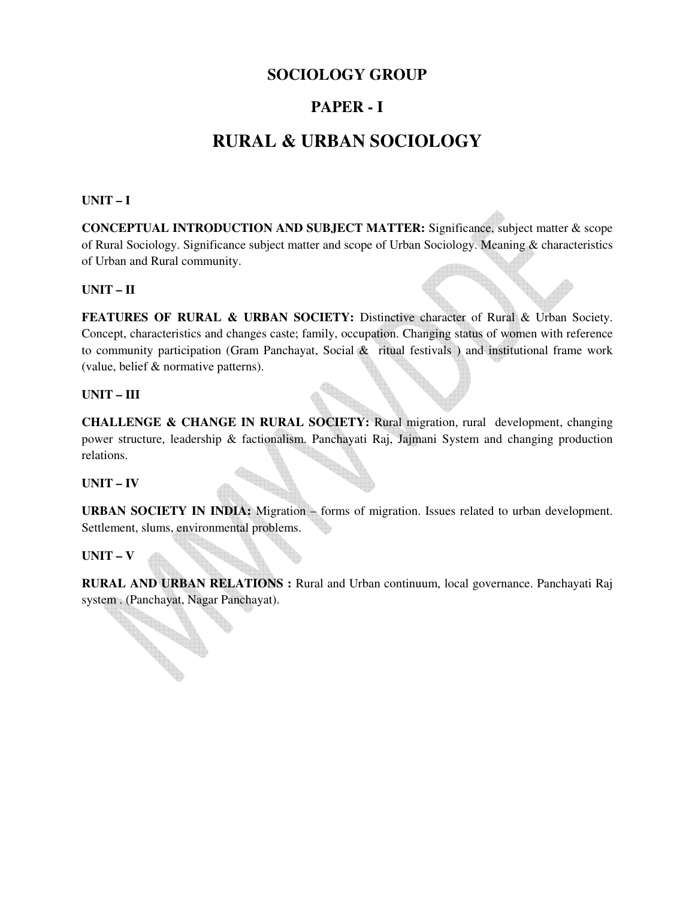## **SOCIOLOGY GROUP**

## **PAPER - I**

# **RURAL & URBAN SOCIOLOGY**

### **UNIT – I**

**CONCEPTUAL INTRODUCTION AND SUBJECT MATTER:** Significance, subject matter & scope of Rural Sociology. Significance subject matter and scope of Urban Sociology. Meaning & characteristics of Urban and Rural community.

### **UNIT – II**

FEATURES OF RURAL & URBAN SOCIETY: Distinctive character of Rural & Urban Society. Concept, characteristics and changes caste; family, occupation. Changing status of women with reference to community participation (Gram Panchayat, Social & ritual festivals ) and institutional frame work (value, belief & normative patterns).

### **UNIT – III**

**CHALLENGE & CHANGE IN RURAL SOCIETY:** Rural migration, rural development, changing power structure, leadership & factionalism. Panchayati Raj, Jajmani System and changing production relations.

### **UNIT – IV**

URBAN SOCIETY IN INDIA: Migration – forms of migration. Issues related to urban development. Settlement, slums, environmental problems.

### **UNIT – V**

**RURAL AND URBAN RELATIONS :** Rural and Urban continuum, local governance. Panchayati Raj system . (Panchayat, Nagar Panchayat).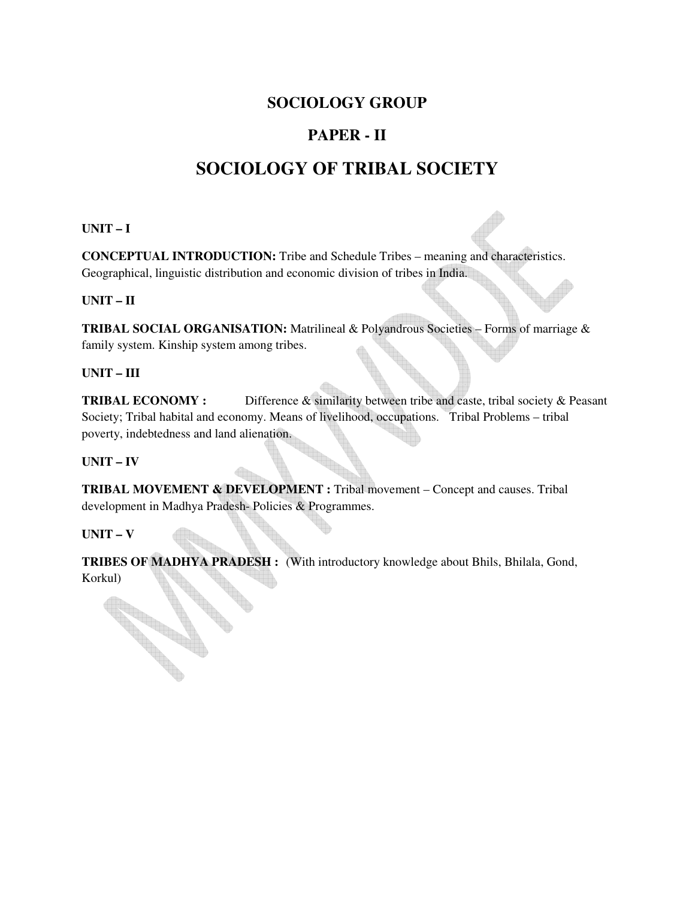## **SOCIOLOGY GROUP**

# **PAPER - II**

# **SOCIOLOGY OF TRIBAL SOCIETY**

### **UNIT – I**

**CONCEPTUAL INTRODUCTION:** Tribe and Schedule Tribes – meaning and characteristics. Geographical, linguistic distribution and economic division of tribes in India.

### **UNIT – II**

**TRIBAL SOCIAL ORGANISATION:** Matrilineal & Polyandrous Societies – Forms of marriage & family system. Kinship system among tribes.

### **UNIT – III**

**TRIBAL ECONOMY :** Difference & similarity between tribe and caste, tribal society & Peasant Society; Tribal habital and economy. Means of livelihood, occupations. Tribal Problems – tribal poverty, indebtedness and land alienation.

### **UNIT – IV**

**TRIBAL MOVEMENT & DEVELOPMENT :** Tribal movement – Concept and causes. Tribal development in Madhya Pradesh- Policies & Programmes.

### **UNIT – V**

**RANGE OF BRIDER** 

**TRIBES OF MADHYA PRADESH :** (With introductory knowledge about Bhils, Bhilala, Gond, Korkul)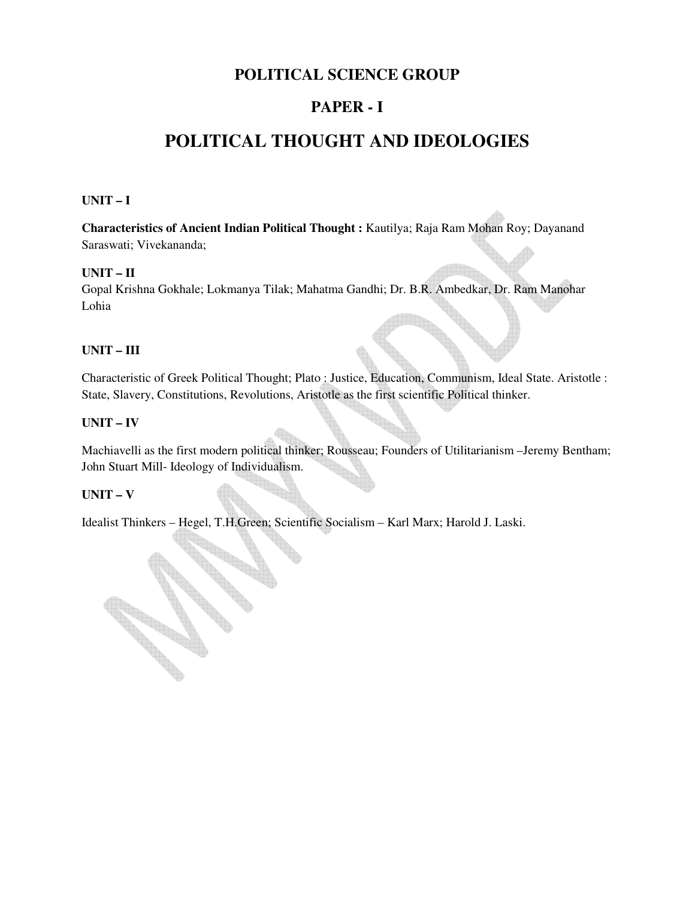## **POLITICAL SCIENCE GROUP**

## **PAPER - I**

# **POLITICAL THOUGHT AND IDEOLOGIES**

### **UNIT – I**

**Characteristics of Ancient Indian Political Thought :** Kautilya; Raja Ram Mohan Roy; Dayanand Saraswati; Vivekananda;

### **UNIT – II**

Gopal Krishna Gokhale; Lokmanya Tilak; Mahatma Gandhi; Dr. B.R. Ambedkar, Dr. Ram Manohar Lohia

### **UNIT – III**

Characteristic of Greek Political Thought; Plato : Justice, Education, Communism, Ideal State. Aristotle : State, Slavery, Constitutions, Revolutions, Aristotle as the first scientific Political thinker.

### **UNIT – IV**

Machiavelli as the first modern political thinker; Rousseau; Founders of Utilitarianism –Jeremy Bentham; John Stuart Mill- Ideology of Individualism.

### **UNIT – V**

**Road** 

Idealist Thinkers – Hegel, T.H.Green; Scientific Socialism – Karl Marx; Harold J. Laski.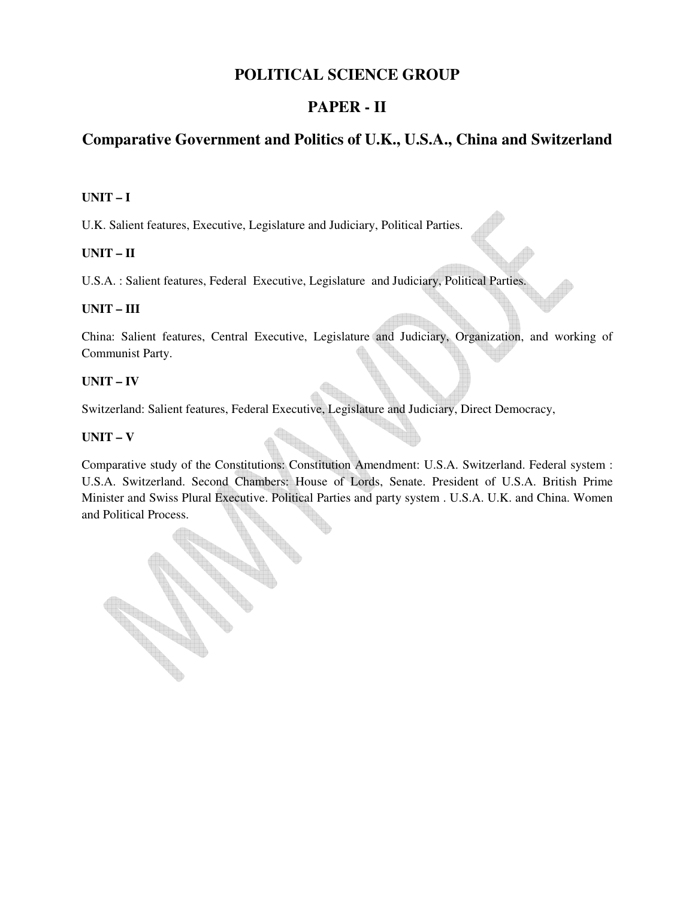## **POLITICAL SCIENCE GROUP**

## **PAPER - II**

## **Comparative Government and Politics of U.K., U.S.A., China and Switzerland**

### **UNIT – I**

U.K. Salient features, Executive, Legislature and Judiciary, Political Parties.

### **UNIT – II**

U.S.A. : Salient features, Federal Executive, Legislature and Judiciary, Political Parties.

### **UNIT – III**

China: Salient features, Central Executive, Legislature and Judiciary, Organization, and working of Communist Party.

### **UNIT – IV**

Switzerland: Salient features, Federal Executive, Legislature and Judiciary, Direct Democracy,

### **UNIT – V**

Comparative study of the Constitutions: Constitution Amendment: U.S.A. Switzerland. Federal system : U.S.A. Switzerland. Second Chambers: House of Lords, Senate. President of U.S.A. British Prime Minister and Swiss Plural Executive. Political Parties and party system . U.S.A. U.K. and China. Women and Political Process.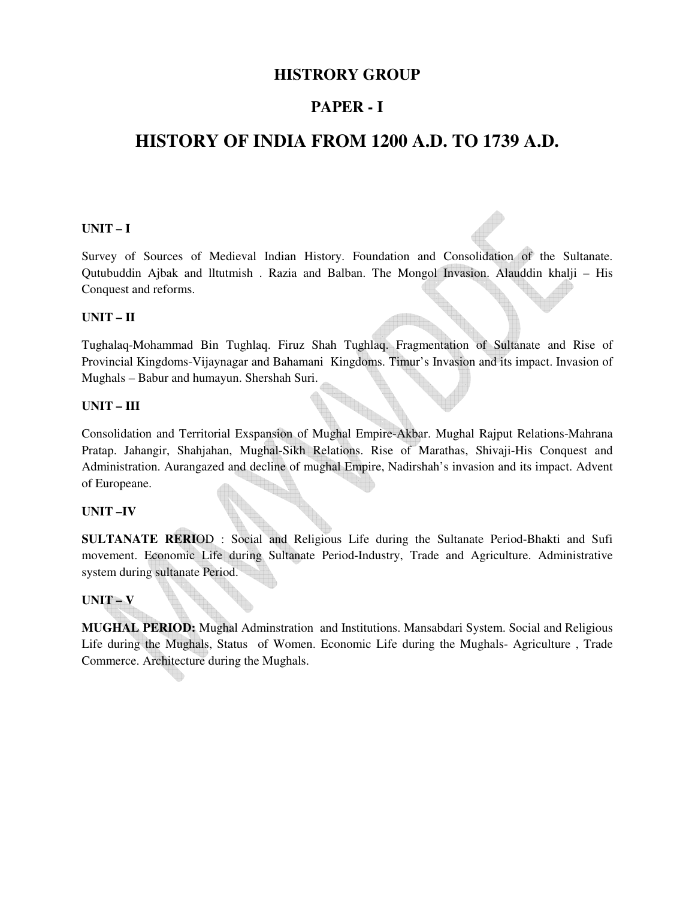### **HISTRORY GROUP**

## **PAPER - I**

# **HISTORY OF INDIA FROM 1200 A.D. TO 1739 A.D.**

### **UNIT – I**

Survey of Sources of Medieval Indian History. Foundation and Consolidation of the Sultanate. Qutubuddin Ajbak and lltutmish . Razia and Balban. The Mongol Invasion. Alauddin khalji – His Conquest and reforms.

### **UNIT – II**

Tughalaq-Mohammad Bin Tughlaq. Firuz Shah Tughlaq. Fragmentation of Sultanate and Rise of Provincial Kingdoms-Vijaynagar and Bahamani Kingdoms. Timur's Invasion and its impact. Invasion of Mughals – Babur and humayun. Shershah Suri.

### **UNIT – III**

Consolidation and Territorial Exspansion of Mughal Empire-Akbar. Mughal Rajput Relations-Mahrana Pratap. Jahangir, Shahjahan, Mughal-Sikh Relations. Rise of Marathas, Shivaji-His Conquest and Administration. Aurangazed and decline of mughal Empire, Nadirshah's invasion and its impact. Advent of Europeane.

### **UNIT –IV**

**SULTANATE RERI**OD : Social and Religious Life during the Sultanate Period-Bhakti and Sufi movement. Economic Life during Sultanate Period-Industry, Trade and Agriculture. Administrative system during sultanate Period.

### **UNIT – V**

**MUGHAL PERIOD:** Mughal Adminstration and Institutions. Mansabdari System. Social and Religious Life during the Mughals, Status of Women. Economic Life during the Mughals- Agriculture , Trade Commerce. Architecture during the Mughals.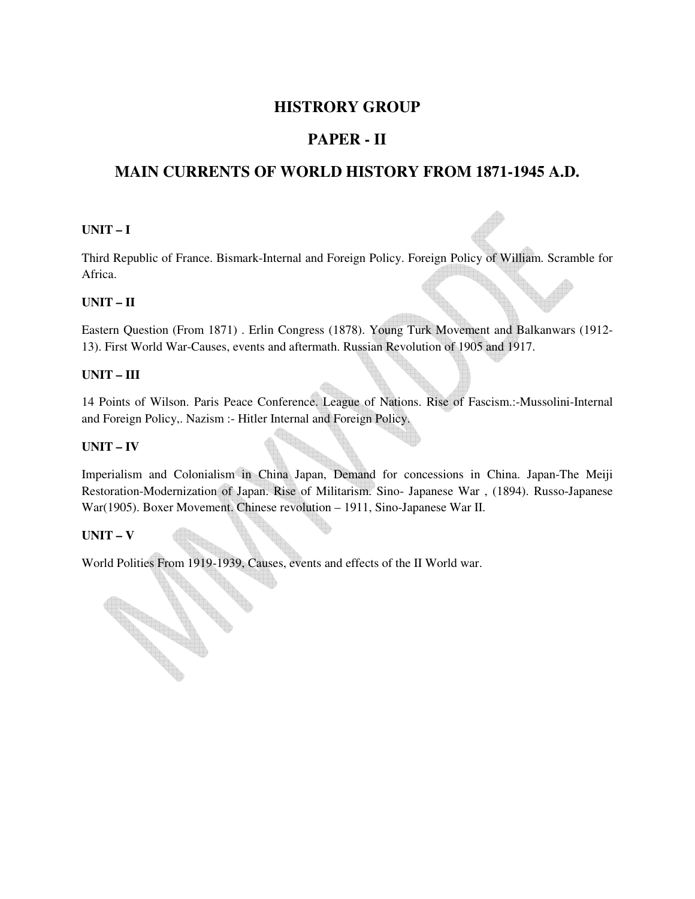## **HISTRORY GROUP**

## **PAPER - II**

## **MAIN CURRENTS OF WORLD HISTORY FROM 1871-1945 A.D.**

### **UNIT – I**

Third Republic of France. Bismark-Internal and Foreign Policy. Foreign Policy of William. Scramble for Africa.

### **UNIT – II**

Eastern Question (From 1871) . Erlin Congress (1878). Young Turk Movement and Balkanwars (1912- 13). First World War-Causes, events and aftermath. Russian Revolution of 1905 and 1917.

### **UNIT – III**

14 Points of Wilson. Paris Peace Conference. League of Nations. Rise of Fascism.:-Mussolini-Internal and Foreign Policy,. Nazism :- Hitler Internal and Foreign Policy.

### **UNIT – IV**

Imperialism and Colonialism in China Japan, Demand for concessions in China. Japan-The Meiji Restoration-Modernization of Japan. Rise of Militarism. Sino- Japanese War , (1894). Russo-Japanese War(1905). Boxer Movement. Chinese revolution – 1911, Sino-Japanese War II.

### **UNIT – V**

**Contract Contract Contract Contract Contract Contract Contract Contract Contract Contract Contract Contract C** 

World Polities From 1919-1939, Causes, events and effects of the II World war.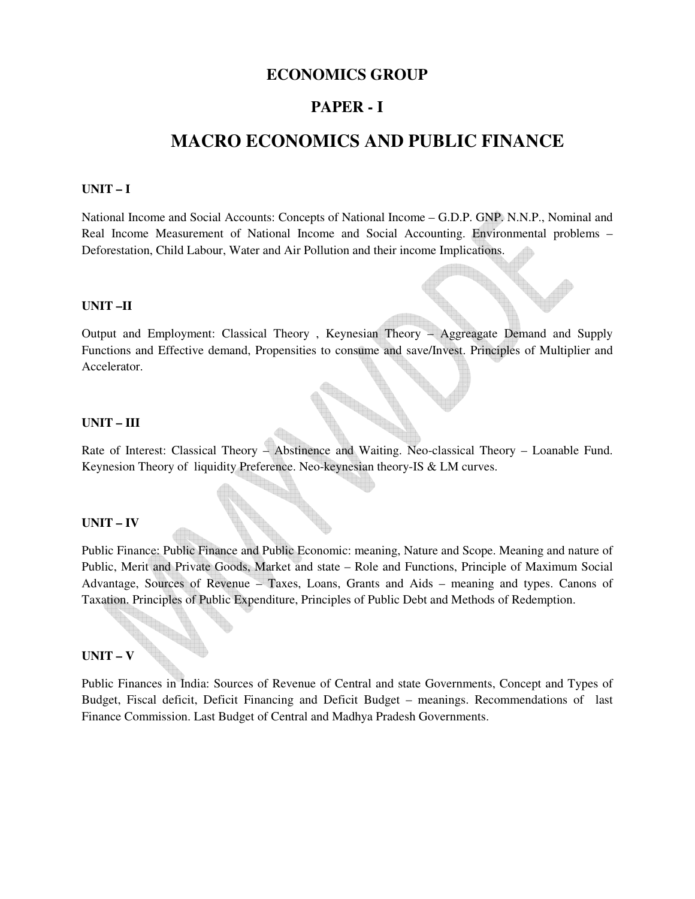### **ECONOMICS GROUP**

### **PAPER - I**

# **MACRO ECONOMICS AND PUBLIC FINANCE**

#### **UNIT – I**

National Income and Social Accounts: Concepts of National Income – G.D.P. GNP. N.N.P., Nominal and Real Income Measurement of National Income and Social Accounting. Environmental problems – Deforestation, Child Labour, Water and Air Pollution and their income Implications.

#### **UNIT –II**

Output and Employment: Classical Theory , Keynesian Theory – Aggreagate Demand and Supply Functions and Effective demand, Propensities to consume and save/Invest. Principles of Multiplier and Accelerator.

#### **UNIT – III**

Rate of Interest: Classical Theory – Abstinence and Waiting. Neo-classical Theory – Loanable Fund. Keynesion Theory of liquidity Preference. Neo-keynesian theory-IS & LM curves.

#### **UNIT – IV**

Public Finance: Public Finance and Public Economic: meaning, Nature and Scope. Meaning and nature of Public, Merit and Private Goods, Market and state – Role and Functions, Principle of Maximum Social Advantage, Sources of Revenue – Taxes, Loans, Grants and Aids – meaning and types. Canons of Taxation. Principles of Public Expenditure, Principles of Public Debt and Methods of Redemption.

#### **UNIT – V**

Public Finances in India: Sources of Revenue of Central and state Governments, Concept and Types of Budget, Fiscal deficit, Deficit Financing and Deficit Budget – meanings. Recommendations of last Finance Commission. Last Budget of Central and Madhya Pradesh Governments.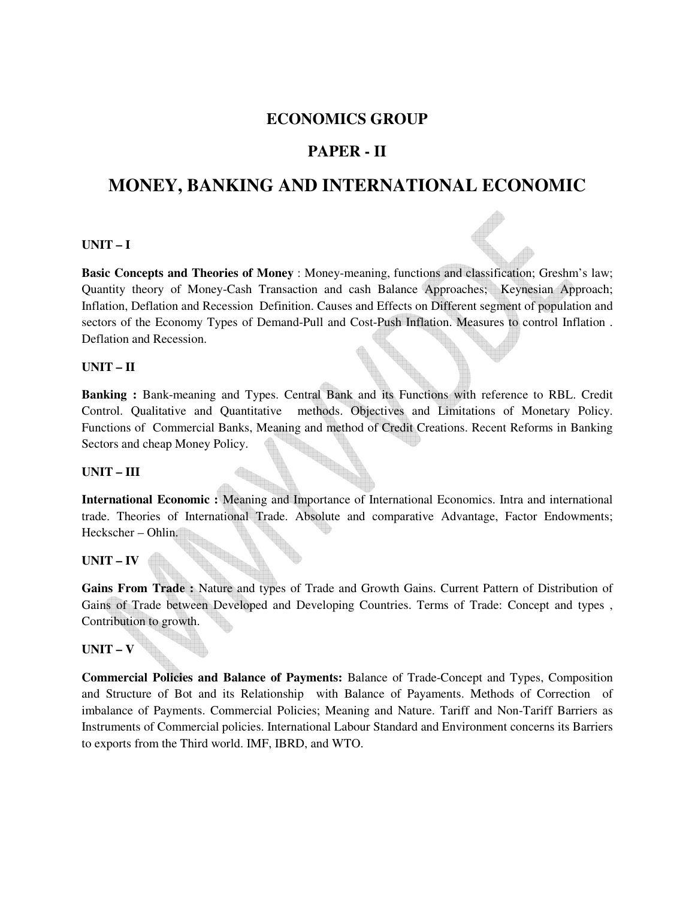## **ECONOMICS GROUP**

## **PAPER - II**

# **MONEY, BANKING AND INTERNATIONAL ECONOMIC**

#### **UNIT – I**

**Basic Concepts and Theories of Money** : Money-meaning, functions and classification; Greshm's law; Quantity theory of Money-Cash Transaction and cash Balance Approaches; Keynesian Approach; Inflation, Deflation and Recession Definition. Causes and Effects on Different segment of population and sectors of the Economy Types of Demand-Pull and Cost-Push Inflation. Measures to control Inflation . Deflation and Recession.

#### **UNIT – II**

**Banking :** Bank-meaning and Types. Central Bank and its Functions with reference to RBL. Credit Control. Qualitative and Quantitative methods. Objectives and Limitations of Monetary Policy. Functions of Commercial Banks, Meaning and method of Credit Creations. Recent Reforms in Banking Sectors and cheap Money Policy.

#### **UNIT – III**

**International Economic :** Meaning and Importance of International Economics. Intra and international trade. Theories of International Trade. Absolute and comparative Advantage, Factor Endowments; Heckscher – Ohlin.

### **UNIT – IV**

**Gains From Trade :** Nature and types of Trade and Growth Gains. Current Pattern of Distribution of Gains of Trade between Developed and Developing Countries. Terms of Trade: Concept and types , Contribution to growth.

### **UNIT – V**

**Commercial Policies and Balance of Payments:** Balance of Trade-Concept and Types, Composition and Structure of Bot and its Relationship with Balance of Payaments. Methods of Correction of imbalance of Payments. Commercial Policies; Meaning and Nature. Tariff and Non-Tariff Barriers as Instruments of Commercial policies. International Labour Standard and Environment concerns its Barriers to exports from the Third world. IMF, IBRD, and WTO.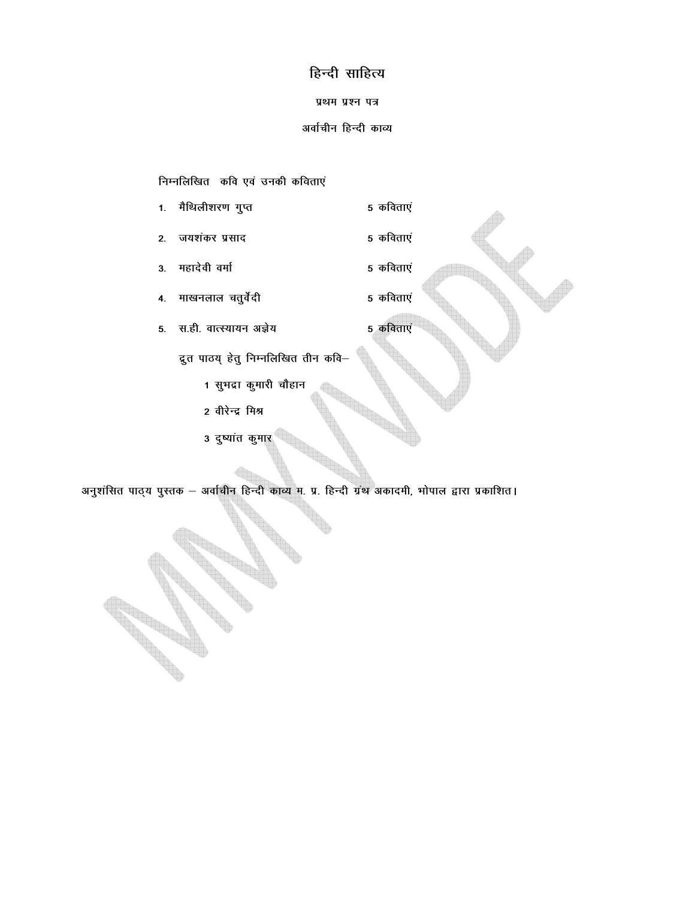## हिन्दी साहित्य

#### प्रथम प्रश्न पत्र

#### अर्वाचीन हिन्दी काव्य

5 कविताएं

5 कविताएं

निम्नलिखित कवि एवं उनकी कविताएं

- 1. मैथिलीशरण गुप्त 5 कविताएं
- जयशंकर प्रसाद 5 कविताएं  $2.$
- महादेवी वर्मा 5 कविताएं  $3<sub>1</sub>$
- माखनलाल चतुर्वेदी 4.
- 5. स.ही. वात्स्यायन अज्ञेय

द्रुत पाठय् हेतु निम्नलिखित तीन कवि-

- 1 सुभद्रा कुमारी चौहान
- 2 वीरेन्द्र मिश्र
- 3 दुष्यांत कुमार

अनुशंसित पाठ्य पुस्तक – अर्वाचीन हिन्दी काव्य म. प्र. हिन्दी ग्रंथ अकादमी, भोपाल द्वारा प्रकाशित।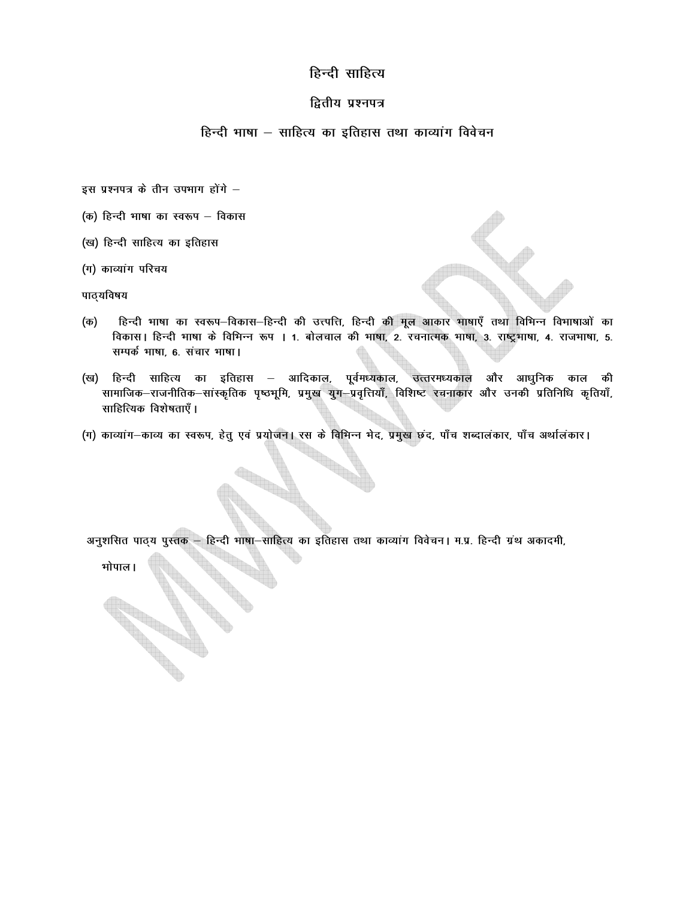### हिन्दी साहित्य

### द्वितीय प्रश्नपत्र

### हिन्दी भाषा – साहित्य का इतिहास तथा काव्यांग विवेचन

- इस प्रश्नपत्र के तीन उपभाग होंगे -
- (क) हिन्दी भाषा का स्वरूप विकास
- (ख) हिन्दी साहित्य का इतिहास
- (ग) काव्यांग परिचय

पाठ्यविषय

- हिन्दी भाषा का स्वरूप-विकास-हिन्दी की उत्त्पत्ति, हिन्दी की मूल आकार भाषाएँ तथा विभिन्न विभाषाओं का (क) विकास। हिन्दी भाषा के विभिन्न रूप । 1. बोलचाल की भाषा, 2. रचनात्मक भाषा, 3. राष्ट्रभाषा, 4. राजभाषा, 5. सम्पर्क भाषा, 6. संचार भाषा।
- (ख) हिन्दी साहित्य का इतिहास आदिकाल, पूर्वमध्यकाल, उत्तरमध्यकाल और आधुनिक काल की सामाजिक–राजनीतिक–सांस्कृतिक पृष्ठभूमि, प्रमुख युग–प्रवृत्तियाँ, विशिष्ट रचनाकार और उनकी प्रतिनिधि कृतियाँ, साहित्यिक विशेषताएँ ।
- (ग) काव्यांग-काव्य का स्वरूप, हेतु एवं प्रयोजन। रस के विभिन्न भेद, प्रमुख छंद, पाँच शब्दालंकार, पाँच अर्थालंकार।

अनुशसित पाठ्य पुस्तक - हिन्दी भाषा-साहित्य का इतिहास तथा काव्यांग विवेचन। म.प्र. हिन्दी ग्रंथ अकादमी,

भोपाल।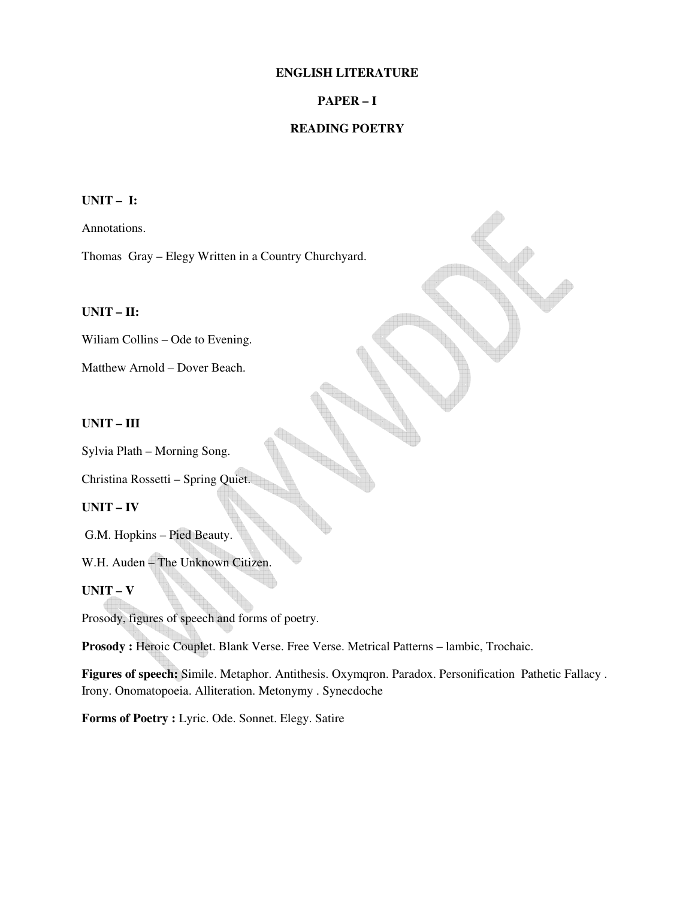#### **ENGLISH LITERATURE**

### **PAPER – I**

### **READING POETRY**

### **UNIT – I:**

Annotations.

Thomas Gray – Elegy Written in a Country Churchyard.

### **UNIT – II:**

Wiliam Collins – Ode to Evening.

Matthew Arnold – Dover Beach.

#### **UNIT – III**

Sylvia Plath – Morning Song.

Christina Rossetti – Spring Quiet.

### **UNIT – IV**

G.M. Hopkins – Pied Beauty.

W.H. Auden – The Unknown Citizen.

### **UNIT – V**

Prosody, figures of speech and forms of poetry.

Prosody : Heroic Couplet. Blank Verse. Free Verse. Metrical Patterns - lambic, Trochaic.

**Figures of speech:** Simile. Metaphor. Antithesis. Oxymqron. Paradox. Personification Pathetic Fallacy . Irony. Onomatopoeia. Alliteration. Metonymy . Synecdoche

Forms of Poetry : Lyric. Ode. Sonnet. Elegy. Satire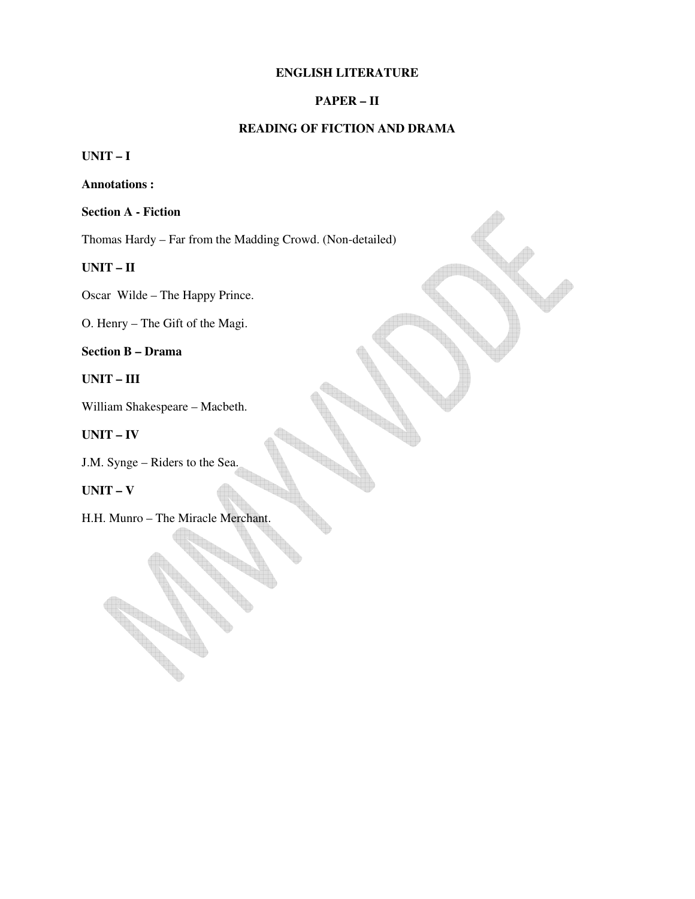#### **ENGLISH LITERATURE**

### **PAPER – II**

### **READING OF FICTION AND DRAMA**

**UNIT – I** 

**Annotations :** 

**Section A - Fiction** 

Thomas Hardy – Far from the Madding Crowd. (Non-detailed)

**UNIT – II**

Oscar Wilde – The Happy Prince.

O. Henry – The Gift of the Magi.

**Section B – Drama** 

**UNIT – III**

William Shakespeare – Macbeth.

**UNIT – IV**

J.M. Synge – Riders to the Sea.

### **UNIT – V**

H.H. Munro – The Miracle Merchant.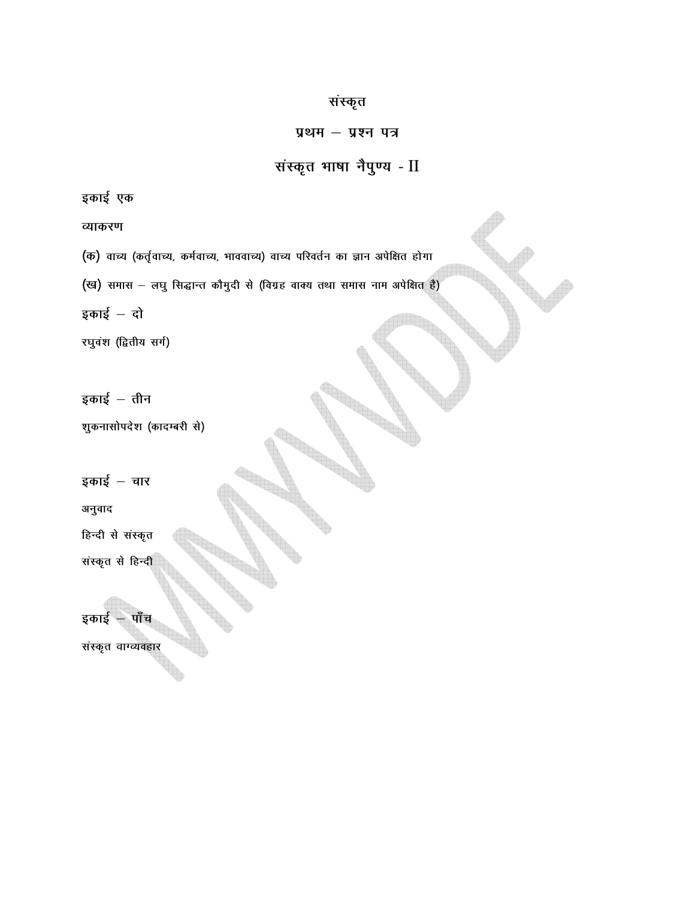इकाई  $-$  तीन शुकनासोपदेश (कादम्बरी से) इकाई – चार अनुवाद हिन्दी से संस्कृत संस्कृत से हिन्दी इकाई – पाँच संस्कृत वाग्व्यवहार

रघुवंश (द्वितीय सर्ग)

इकाई – दो

(ख) समास - लघु सिद्धान्त कौमुदी से (विग्रह वाक्य तथा समास नाम अपेक्षित है)

(क) वाच्य (कर्तृवाच्य, कर्मवाच्य, भाववाच्य) वाच्य परिवर्तन का ज्ञान अपेक्षित होगा

व्याकरण

इकाई एक

संस्कृत भाषा नैपुण्य - II

प्रथम - प्रश्न पत्र

संस्कृत